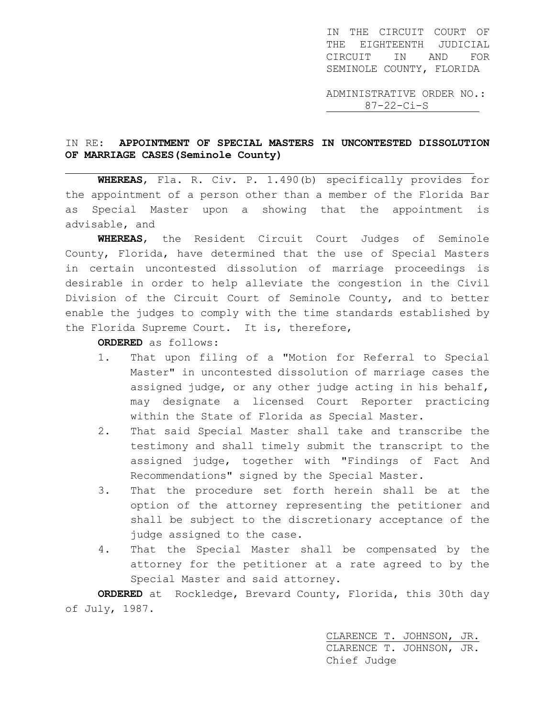IN THE CIRCUIT COURT OF THE EIGHTEENTH JUDICIAL CIRCUIT IN AND FOR SEMINOLE COUNTY, FLORIDA

ADMINISTRATIVE ORDER NO.: 87-22-Ci-S

## IN RE: **APPOINTMENT OF SPECIAL MASTERS IN UNCONTESTED DISSOLUTION OF MARRIAGE CASES(Seminole County)**

j. **WHEREAS**, Fla. R. Civ. P. 1.490(b) specifically provides for the appointment of a person other than a member of the Florida Bar as Special Master upon a showing that the appointment is advisable, and

**WHEREAS**, the Resident Circuit Court Judges of Seminole County, Florida, have determined that the use of Special Masters in certain uncontested dissolution of marriage proceedings is desirable in order to help alleviate the congestion in the Civil Division of the Circuit Court of Seminole County, and to better enable the judges to comply with the time standards established by the Florida Supreme Court. It is, therefore,

**ORDERED** as follows:

- 1. That upon filing of a "Motion for Referral to Special Master" in uncontested dissolution of marriage cases the assigned judge, or any other judge acting in his behalf, may designate a licensed Court Reporter practicing within the State of Florida as Special Master.
- 2. That said Special Master shall take and transcribe the testimony and shall timely submit the transcript to the assigned judge, together with "Findings of Fact And Recommendations" signed by the Special Master.
- 3. That the procedure set forth herein shall be at the option of the attorney representing the petitioner and shall be subject to the discretionary acceptance of the judge assigned to the case.
- 4. That the Special Master shall be compensated by the attorney for the petitioner at a rate agreed to by the Special Master and said attorney.

**ORDERED** at Rockledge, Brevard County, Florida, this 30th day of July, 1987.

> CLARENCE T. JOHNSON, JR. CLARENCE T. JOHNSON, JR. Chief Judge